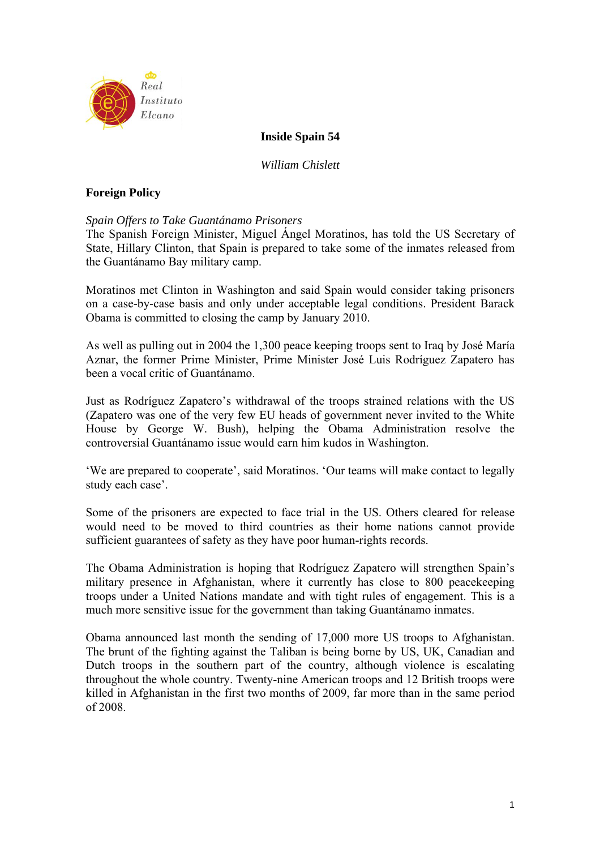

## **Inside Spain 54**

*William Chislett* 

## **Foreign Policy**

### *Spain Offers to Take Guantánamo Prisoners*

The Spanish Foreign Minister, Miguel Ángel Moratinos, has told the US Secretary of State, Hillary Clinton, that Spain is prepared to take some of the inmates released from the Guantánamo Bay military camp.

Moratinos met Clinton in Washington and said Spain would consider taking prisoners on a case-by-case basis and only under acceptable legal conditions. President Barack Obama is committed to closing the camp by January 2010.

As well as pulling out in 2004 the 1,300 peace keeping troops sent to Iraq by José María Aznar, the former Prime Minister, Prime Minister José Luis Rodríguez Zapatero has been a vocal critic of Guantánamo.

Just as Rodríguez Zapatero's withdrawal of the troops strained relations with the US (Zapatero was one of the very few EU heads of government never invited to the White House by George W. Bush), helping the Obama Administration resolve the controversial Guantánamo issue would earn him kudos in Washington.

'We are prepared to cooperate', said Moratinos. 'Our teams will make contact to legally study each case'.

Some of the prisoners are expected to face trial in the US. Others cleared for release would need to be moved to third countries as their home nations cannot provide sufficient guarantees of safety as they have poor human-rights records.

The Obama Administration is hoping that Rodríguez Zapatero will strengthen Spain's military presence in Afghanistan, where it currently has close to 800 peacekeeping troops under a United Nations mandate and with tight rules of engagement. This is a much more sensitive issue for the government than taking Guantánamo inmates.

Obama announced last month the sending of 17,000 more US troops to Afghanistan. The brunt of the fighting against the Taliban is being borne by US, UK, Canadian and Dutch troops in the southern part of the country, although violence is escalating throughout the whole country. Twenty-nine American troops and 12 British troops were killed in Afghanistan in the first two months of 2009, far more than in the same period of 2008.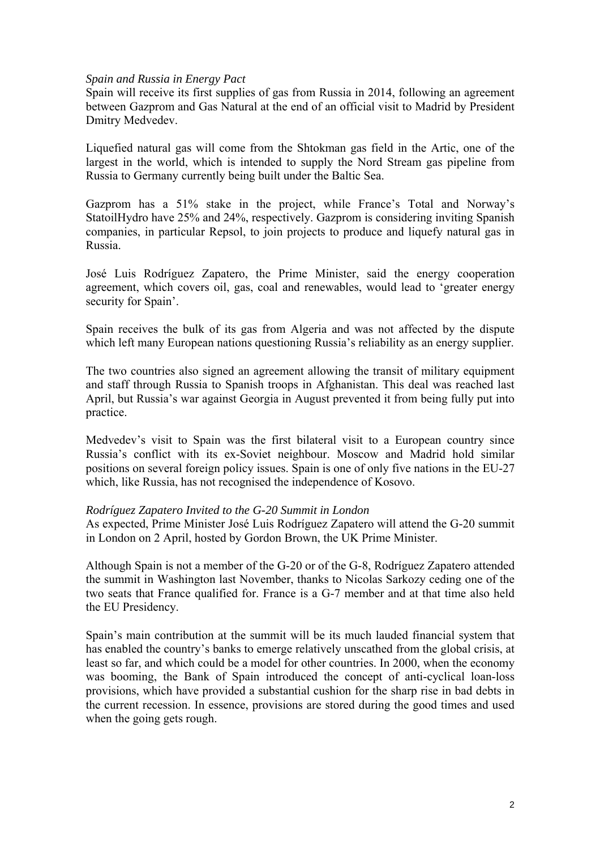#### *Spain and Russia in Energy Pact*

Spain will receive its first supplies of gas from Russia in 2014, following an agreement between Gazprom and Gas Natural at the end of an official visit to Madrid by President Dmitry Medvedev.

Liquefied natural gas will come from the Shtokman gas field in the Artic, one of the largest in the world, which is intended to supply the Nord Stream gas pipeline from Russia to Germany currently being built under the Baltic Sea.

Gazprom has a 51% stake in the project, while France's Total and Norway's StatoilHydro have 25% and 24%, respectively. Gazprom is considering inviting Spanish companies, in particular Repsol, to join projects to produce and liquefy natural gas in Russia.

José Luis Rodríguez Zapatero, the Prime Minister, said the energy cooperation agreement, which covers oil, gas, coal and renewables, would lead to 'greater energy security for Spain'.

Spain receives the bulk of its gas from Algeria and was not affected by the dispute which left many European nations questioning Russia's reliability as an energy supplier.

The two countries also signed an agreement allowing the transit of military equipment and staff through Russia to Spanish troops in Afghanistan. This deal was reached last April, but Russia's war against Georgia in August prevented it from being fully put into practice.

Medvedev's visit to Spain was the first bilateral visit to a European country since Russia's conflict with its ex-Soviet neighbour. Moscow and Madrid hold similar positions on several foreign policy issues. Spain is one of only five nations in the EU-27 which, like Russia, has not recognised the independence of Kosovo.

### *Rodríguez Zapatero Invited to the G-20 Summit in London*

As expected, Prime Minister José Luis Rodríguez Zapatero will attend the G-20 summit in London on 2 April, hosted by Gordon Brown, the UK Prime Minister.

Although Spain is not a member of the G-20 or of the G-8, Rodríguez Zapatero attended the summit in Washington last November, thanks to Nicolas Sarkozy ceding one of the two seats that France qualified for. France is a G-7 member and at that time also held the EU Presidency.

Spain's main contribution at the summit will be its much lauded financial system that has enabled the country's banks to emerge relatively unscathed from the global crisis, at least so far, and which could be a model for other countries. In 2000, when the economy was booming, the Bank of Spain introduced the concept of anti-cyclical loan-loss provisions, which have provided a substantial cushion for the sharp rise in bad debts in the current recession. In essence, provisions are stored during the good times and used when the going gets rough.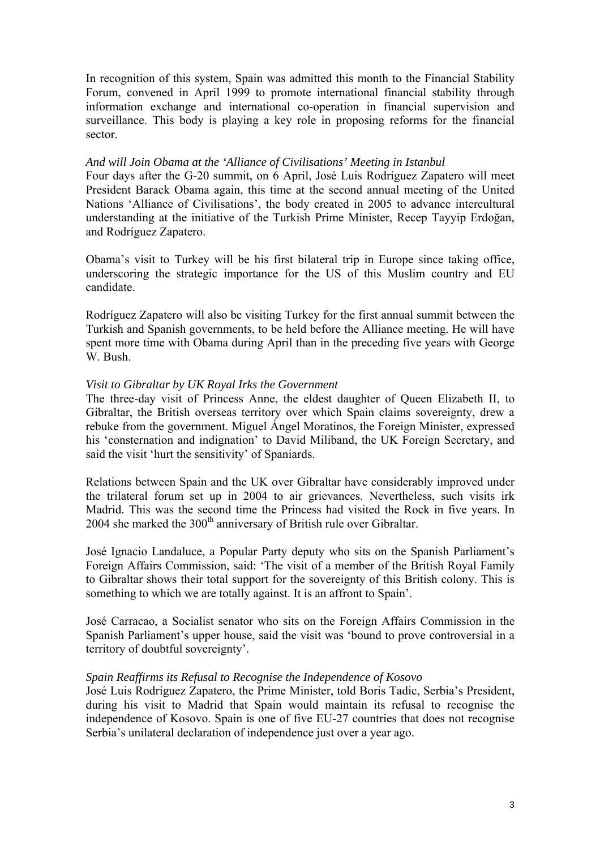In recognition of this system, Spain was admitted this month to the Financial Stability Forum, convened in April 1999 to promote international financial stability through information exchange and international co-operation in financial supervision and surveillance. This body is playing a key role in proposing reforms for the financial sector.

### *And will Join Obama at the 'Alliance of Civilisations' Meeting in Istanbul*

Four days after the G-20 summit, on 6 April, José Luis Rodríguez Zapatero will meet President Barack Obama again, this time at the second annual meeting of the United Nations 'Alliance of Civilisations', the body created in 2005 to advance intercultural understanding at the initiative of the Turkish Prime Minister, Recep Tayyip Erdoğan, and Rodríguez Zapatero.

Obama's visit to Turkey will be his first bilateral trip in Europe since taking office, underscoring the strategic importance for the US of this Muslim country and EU candidate.

Rodríguez Zapatero will also be visiting Turkey for the first annual summit between the Turkish and Spanish governments, to be held before the Alliance meeting. He will have spent more time with Obama during April than in the preceding five years with George W. Bush.

### *Visit to Gibraltar by UK Royal Irks the Government*

The three-day visit of Princess Anne, the eldest daughter of Queen Elizabeth II, to Gibraltar, the British overseas territory over which Spain claims sovereignty, drew a rebuke from the government. Miguel Ángel Moratinos, the Foreign Minister, expressed his 'consternation and indignation' to David Miliband, the UK Foreign Secretary, and said the visit 'hurt the sensitivity' of Spaniards.

Relations between Spain and the UK over Gibraltar have considerably improved under the trilateral forum set up in 2004 to air grievances. Nevertheless, such visits irk Madrid. This was the second time the Princess had visited the Rock in five years. In 2004 she marked the  $300<sup>th</sup>$  anniversary of British rule over Gibraltar.

José Ignacio Landaluce, a Popular Party deputy who sits on the Spanish Parliament's Foreign Affairs Commission, said: 'The visit of a member of the British Royal Family to Gibraltar shows their total support for the sovereignty of this British colony. This is something to which we are totally against. It is an affront to Spain'.

José Carracao, a Socialist senator who sits on the Foreign Affairs Commission in the Spanish Parliament's upper house, said the visit was 'bound to prove controversial in a territory of doubtful sovereignty'.

### *Spain Reaffirms its Refusal to Recognise the Independence of Kosovo*

José Luis Rodríguez Zapatero, the Prime Minister, told Boris Tadic, Serbia's President, during his visit to Madrid that Spain would maintain its refusal to recognise the independence of Kosovo. Spain is one of five EU-27 countries that does not recognise Serbia's unilateral declaration of independence just over a year ago.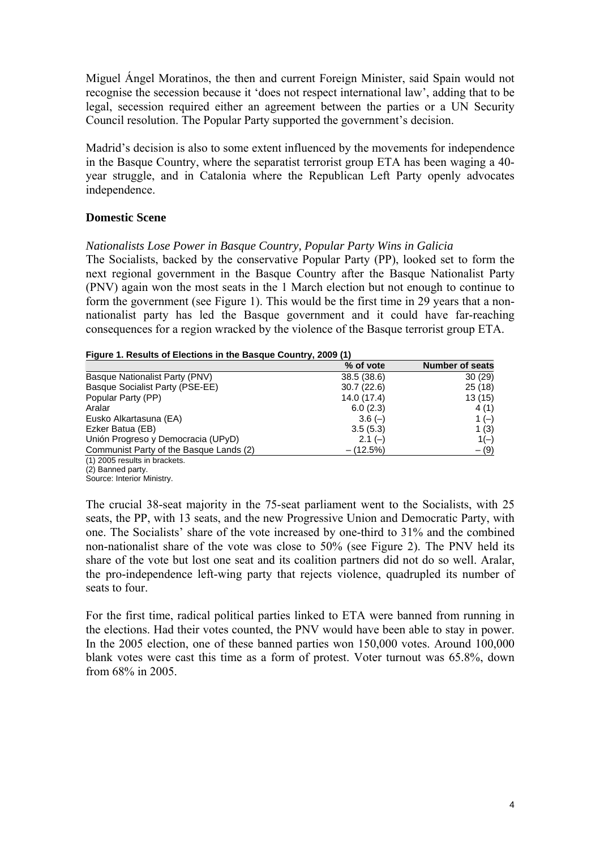Miguel Ángel Moratinos, the then and current Foreign Minister, said Spain would not recognise the secession because it 'does not respect international law', adding that to be legal, secession required either an agreement between the parties or a UN Security Council resolution. The Popular Party supported the government's decision.

Madrid's decision is also to some extent influenced by the movements for independence in the Basque Country, where the separatist terrorist group ETA has been waging a 40 year struggle, and in Catalonia where the Republican Left Party openly advocates independence.

# **Domestic Scene**

# *Nationalists Lose Power in Basque Country, Popular Party Wins in Galicia*

The Socialists, backed by the conservative Popular Party (PP), looked set to form the next regional government in the Basque Country after the Basque Nationalist Party (PNV) again won the most seats in the 1 March election but not enough to continue to form the government (see Figure 1). This would be the first time in 29 years that a nonnationalist party has led the Basque government and it could have far-reaching consequences for a region wracked by the violence of the Basque terrorist group ETA.

#### **Figure 1. Results of Elections in the Basque Country, 2009 (1)**

|                                         | % of vote   | <b>Number of seats</b> |
|-----------------------------------------|-------------|------------------------|
| Basque Nationalist Party (PNV)          | 38.5(38.6)  | 30(29)                 |
| Basque Socialist Party (PSE-EE)         | 30.7(22.6)  | 25(18)                 |
| Popular Party (PP)                      | 14.0 (17.4) | 13 (15)                |
| Aralar                                  | 6.0(2.3)    | 4(1)                   |
| Eusko Alkartasuna (EA)                  | $3.6(-)$    | 1 $(-)$                |
| Ezker Batua (EB)                        | 3.5(5.3)    | 1(3)                   |
| Unión Progreso y Democracia (UPyD)      | $2.1(-)$    | $1(-)$                 |
| Communist Party of the Basque Lands (2) | $- (12.5%)$ | $- (9)$                |
| (1) 2005 results in brackets.           |             |                        |

(2) Banned party.

Source: Interior Ministry.

The crucial 38-seat majority in the 75-seat parliament went to the Socialists, with 25 seats, the PP, with 13 seats, and the new Progressive Union and Democratic Party, with one. The Socialists' share of the vote increased by one-third to 31% and the combined non-nationalist share of the vote was close to 50% (see Figure 2). The PNV held its share of the vote but lost one seat and its coalition partners did not do so well. Aralar, the pro-independence left-wing party that rejects violence, quadrupled its number of seats to four.

For the first time, radical political parties linked to ETA were banned from running in the elections. Had their votes counted, the PNV would have been able to stay in power. In the 2005 election, one of these banned parties won 150,000 votes. Around 100,000 blank votes were cast this time as a form of protest. Voter turnout was 65.8%, down from 68% in 2005.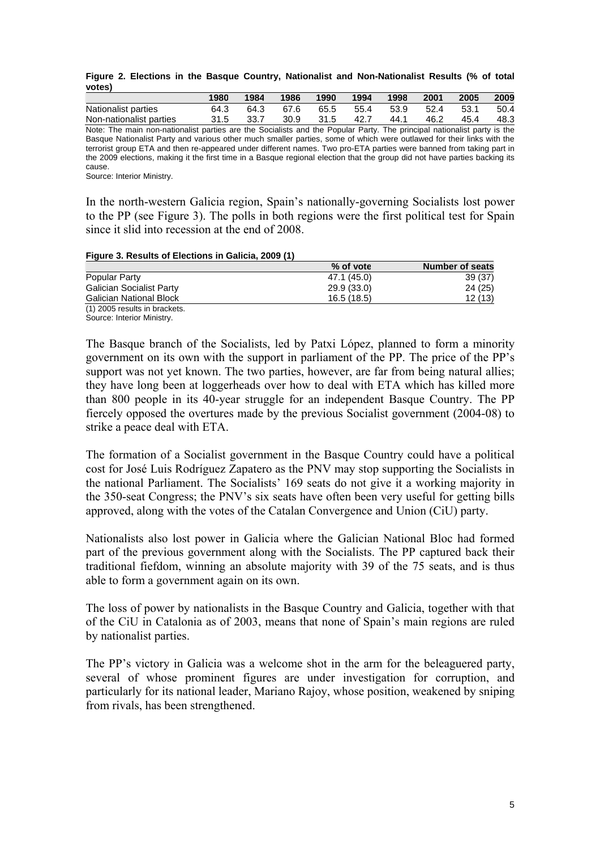|        |  |  |  |  | Figure 2. Elections in the Basque Country, Nationalist and Non-Nationalist Results (% of total |  |  |
|--------|--|--|--|--|------------------------------------------------------------------------------------------------|--|--|
| votes) |  |  |  |  |                                                                                                |  |  |

|                                                                                                                            | 1980 | 1984 | 1986 | 1990 | 1994 | 1998 | 2001 | 2005 | 2009 |
|----------------------------------------------------------------------------------------------------------------------------|------|------|------|------|------|------|------|------|------|
| Nationalist parties                                                                                                        | 64.3 | 64.3 | 67.6 | 65.5 | 55.4 | 53.9 | 52.4 | 53.1 | 50.4 |
| Non-nationalist parties                                                                                                    | 31.5 | 33.7 | 30.9 | 31.5 | 42.7 | 44.1 | 46.2 | 45.4 | 48.3 |
| Note: The main non-nationalist parties are the Socialists and the Popular Party. The principal nationalist party is the    |      |      |      |      |      |      |      |      |      |
| Basque Nationalist Party and various other much smaller parties, some of which were outlawed for their links with the      |      |      |      |      |      |      |      |      |      |
| terrorist group ETA and then re-appeared under different names. Two pro-ETA parties were banned from taking part in        |      |      |      |      |      |      |      |      |      |
| the 2009 elections, making it the first time in a Basque regional election that the group did not have parties backing its |      |      |      |      |      |      |      |      |      |

cause.

Source: Interior Ministry.

In the north-western Galicia region, Spain's nationally-governing Socialists lost power to the PP (see Figure 3). The polls in both regions were the first political test for Spain since it slid into recession at the end of 2008.

#### **Figure 3. Results of Elections in Galicia, 2009 (1)**

|                                 | % of vote   | <b>Number of seats</b> |
|---------------------------------|-------------|------------------------|
| Popular Party                   | 47.1 (45.0) | 39(37)                 |
| <b>Galician Socialist Party</b> | 29.9(33.0)  | 24(25)                 |
| <b>Galician National Block</b>  | 16.5(18.5)  | 12(13)                 |
| (1) 2005 results in brackets.   |             |                        |

Source: Interior Ministry.

The Basque branch of the Socialists, led by Patxi López, planned to form a minority government on its own with the support in parliament of the PP. The price of the PP's support was not yet known. The two parties, however, are far from being natural allies; they have long been at loggerheads over how to deal with ETA which has killed more than 800 people in its 40-year struggle for an independent Basque Country. The PP fiercely opposed the overtures made by the previous Socialist government (2004-08) to strike a peace deal with ETA.

The formation of a Socialist government in the Basque Country could have a political cost for José Luis Rodríguez Zapatero as the PNV may stop supporting the Socialists in the national Parliament. The Socialists' 169 seats do not give it a working majority in the 350-seat Congress; the PNV's six seats have often been very useful for getting bills approved, along with the votes of the Catalan Convergence and Union (CiU) party.

Nationalists also lost power in Galicia where the Galician National Bloc had formed part of the previous government along with the Socialists. The PP captured back their traditional fiefdom, winning an absolute majority with 39 of the 75 seats, and is thus able to form a government again on its own.

The loss of power by nationalists in the Basque Country and Galicia, together with that of the CiU in Catalonia as of 2003, means that none of Spain's main regions are ruled by nationalist parties.

The PP's victory in Galicia was a welcome shot in the arm for the beleaguered party, several of whose prominent figures are under investigation for corruption, and particularly for its national leader, Mariano Rajoy, whose position, weakened by sniping from rivals, has been strengthened.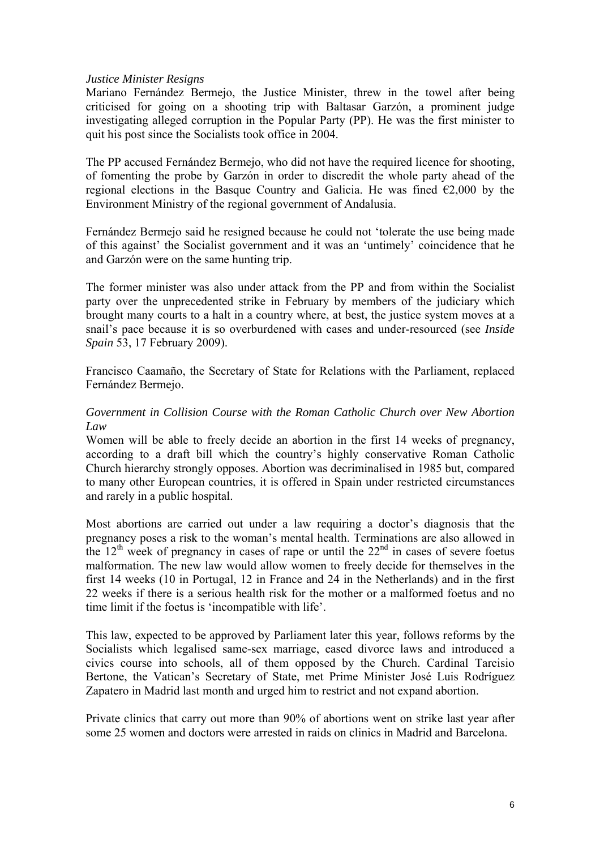### *Justice Minister Resigns*

Mariano Fernández Bermejo, the Justice Minister, threw in the towel after being criticised for going on a shooting trip with Baltasar Garzón, a prominent judge investigating alleged corruption in the Popular Party (PP). He was the first minister to quit his post since the Socialists took office in 2004.

The PP accused Fernández Bermejo, who did not have the required licence for shooting, of fomenting the probe by Garzón in order to discredit the whole party ahead of the regional elections in the Basque Country and Galicia. He was fined  $\epsilon$ 2,000 by the Environment Ministry of the regional government of Andalusia.

Fernández Bermejo said he resigned because he could not 'tolerate the use being made of this against' the Socialist government and it was an 'untimely' coincidence that he and Garzón were on the same hunting trip.

The former minister was also under attack from the PP and from within the Socialist party over the unprecedented strike in February by members of the judiciary which brought many courts to a halt in a country where, at best, the justice system moves at a snail's pace because it is so overburdened with cases and under-resourced (see *Inside Spain* 53, 17 February 2009).

Francisco Caamaño, the Secretary of State for Relations with the Parliament, replaced Fernández Bermejo.

### *Government in Collision Course with the Roman Catholic Church over New Abortion Law*

Women will be able to freely decide an abortion in the first 14 weeks of pregnancy, according to a draft bill which the country's highly conservative Roman Catholic Church hierarchy strongly opposes. Abortion was decriminalised in 1985 but, compared to many other European countries, it is offered in Spain under restricted circumstances and rarely in a public hospital.

Most abortions are carried out under a law requiring a doctor's diagnosis that the pregnancy poses a risk to the woman's mental health. Terminations are also allowed in the  $12<sup>th</sup>$  week of pregnancy in cases of rape or until the  $22<sup>nd</sup>$  in cases of severe foetus malformation. The new law would allow women to freely decide for themselves in the first 14 weeks (10 in Portugal, 12 in France and 24 in the Netherlands) and in the first 22 weeks if there is a serious health risk for the mother or a malformed foetus and no time limit if the foetus is 'incompatible with life'.

This law, expected to be approved by Parliament later this year, follows reforms by the Socialists which legalised same-sex marriage, eased divorce laws and introduced a civics course into schools, all of them opposed by the Church. Cardinal Tarcisio Bertone, the Vatican's Secretary of State, met Prime Minister José Luis Rodríguez Zapatero in Madrid last month and urged him to restrict and not expand abortion.

Private clinics that carry out more than 90% of abortions went on strike last year after some 25 women and doctors were arrested in raids on clinics in Madrid and Barcelona.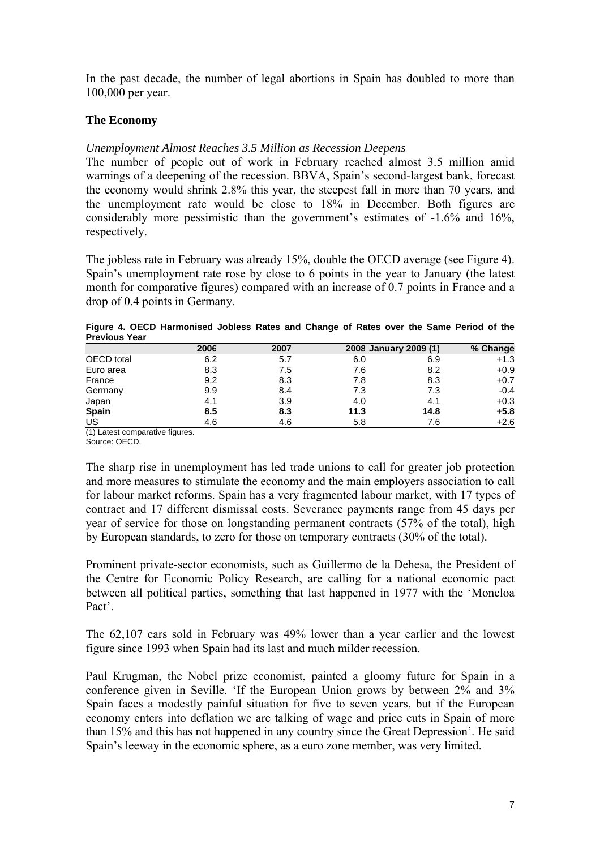In the past decade, the number of legal abortions in Spain has doubled to more than 100,000 per year.

# **The Economy**

### *Unemployment Almost Reaches 3.5 Million as Recession Deepens*

The number of people out of work in February reached almost 3.5 million amid warnings of a deepening of the recession. BBVA, Spain's second-largest bank, forecast the economy would shrink 2.8% this year, the steepest fall in more than 70 years, and the unemployment rate would be close to 18% in December. Both figures are considerably more pessimistic than the government's estimates of -1.6% and 16%, respectively.

The jobless rate in February was already 15%, double the OECD average (see Figure 4). Spain's unemployment rate rose by close to 6 points in the year to January (the latest month for comparative figures) compared with an increase of 0.7 points in France and a drop of 0.4 points in Germany.

|                      | Figure 4. OECD Harmonised Jobless Rates and Change of Rates over the Same Period of the |  |  |  |  |  |  |
|----------------------|-----------------------------------------------------------------------------------------|--|--|--|--|--|--|
| <b>Previous Year</b> |                                                                                         |  |  |  |  |  |  |
|                      |                                                                                         |  |  |  |  |  |  |

|              | 2006 | 2007 | 2008 January 2009 (1) |      | % Change |
|--------------|------|------|-----------------------|------|----------|
| OECD total   | 6.2  | 5.7  | 6.0                   | 6.9  | $+1.3$   |
| Euro area    | 8.3  | 7.5  | 7.6                   | 8.2  | $+0.9$   |
| France       | 9.2  | 8.3  | 7.8                   | 8.3  | $+0.7$   |
| Germany      | 9.9  | 8.4  | 7.3                   | 7.3  | $-0.4$   |
| Japan        | 4.1  | 3.9  | 4.0                   | 4.1  | $+0.3$   |
| <b>Spain</b> | 8.5  | 8.3  | 11.3                  | 14.8 | $+5.8$   |
| US           | 4.6  | 4.6  | 5.8                   | 7.6  | $+2.6$   |

(1) Latest comparative figures.

Source: OECD.

The sharp rise in unemployment has led trade unions to call for greater job protection and more measures to stimulate the economy and the main employers association to call for labour market reforms. Spain has a very fragmented labour market, with 17 types of contract and 17 different dismissal costs. Severance payments range from 45 days per year of service for those on longstanding permanent contracts (57% of the total), high by European standards, to zero for those on temporary contracts (30% of the total).

Prominent private-sector economists, such as Guillermo de la Dehesa, the President of the Centre for Economic Policy Research, are calling for a national economic pact between all political parties, something that last happened in 1977 with the 'Moncloa Pact'.

The 62,107 cars sold in February was 49% lower than a year earlier and the lowest figure since 1993 when Spain had its last and much milder recession.

Paul Krugman, the Nobel prize economist, painted a gloomy future for Spain in a conference given in Seville. 'If the European Union grows by between 2% and 3% Spain faces a modestly painful situation for five to seven years, but if the European economy enters into deflation we are talking of wage and price cuts in Spain of more than 15% and this has not happened in any country since the Great Depression'. He said Spain's leeway in the economic sphere, as a euro zone member, was very limited.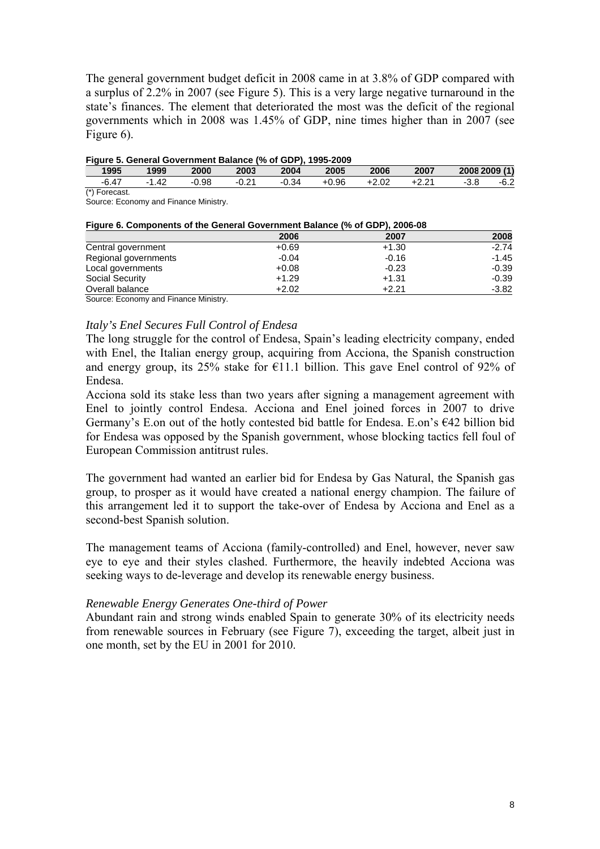The general government budget deficit in 2008 came in at 3.8% of GDP compared with a surplus of 2.2% in 2007 (see Figure 5). This is a very large negative turnaround in the state's finances. The element that deteriorated the most was the deficit of the regional governments which in 2008 was 1.45% of GDP, nine times higher than in 2007 (see Figure 6).

| Figure 5. General Government Balance (% of GDP), 1995-2009 |       |       |       |         |              |      |       |               |        |
|------------------------------------------------------------|-------|-------|-------|---------|--------------|------|-------|---------------|--------|
| 1995                                                       | 1999  | 2000  | 2003  | 2004    | 2005         | 2006 | 2007  | 2008 2009 (1) |        |
| -6.47                                                      | -1.42 | -0.98 | -0.21 | $-0.34$ | +0.96  +2.02 |      | +2.21 | $-3.8$        | $-6.2$ |

(\*) Forecast.

Source: Economy and Finance Ministry.

| Figure 6. Components of the General Government Balance (% of GDP), 2006-08 |         |         |         |
|----------------------------------------------------------------------------|---------|---------|---------|
|                                                                            | 2006    | 2007    | 2008    |
| Central government                                                         | $+0.69$ | $+1.30$ | $-2.74$ |
| Regional governments                                                       | $-0.04$ | $-0.16$ | $-1.45$ |
| Local governments                                                          | $+0.08$ | $-0.23$ | $-0.39$ |
| <b>Social Security</b>                                                     | $+1.29$ | $+1.31$ | $-0.39$ |
| Overall balance                                                            | $+2.02$ | $+2.21$ | $-3.82$ |
| $\cdot$ $ \cdot$<br>.<br>$\sim$                                            |         |         |         |

#### **Figure 6. Components of the General Government Balance (% of GDP), 2006-08**

Source: Economy and Finance Ministry.

### *Italy's Enel Secures Full Control of Endesa*

The long struggle for the control of Endesa, Spain's leading electricity company, ended with Enel, the Italian energy group, acquiring from Acciona, the Spanish construction and energy group, its 25% stake for  $\epsilon$ 11.1 billion. This gave Enel control of 92% of Endesa.

Acciona sold its stake less than two years after signing a management agreement with Enel to jointly control Endesa. Acciona and Enel joined forces in 2007 to drive Germany's E.on out of the hotly contested bid battle for Endesa. E.on's  $642$  billion bid for Endesa was opposed by the Spanish government, whose blocking tactics fell foul of European Commission antitrust rules.

The government had wanted an earlier bid for Endesa by Gas Natural, the Spanish gas group, to prosper as it would have created a national energy champion. The failure of this arrangement led it to support the take-over of Endesa by Acciona and Enel as a second-best Spanish solution.

The management teams of Acciona (family-controlled) and Enel, however, never saw eye to eye and their styles clashed. Furthermore, the heavily indebted Acciona was seeking ways to de-leverage and develop its renewable energy business.

### *Renewable Energy Generates One-third of Power*

Abundant rain and strong winds enabled Spain to generate 30% of its electricity needs from renewable sources in February (see Figure 7), exceeding the target, albeit just in one month, set by the EU in 2001 for 2010.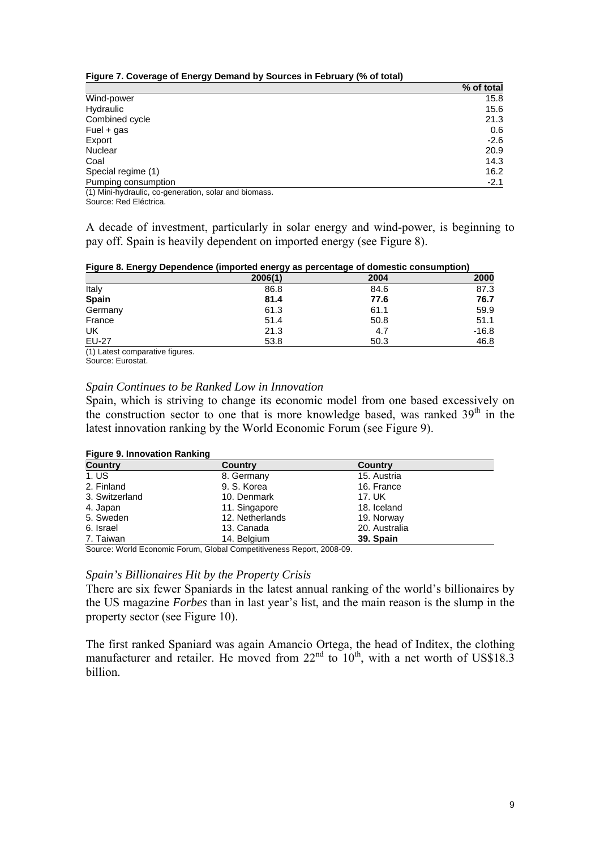#### **Figure 7. Coverage of Energy Demand by Sources in February (% of total)**

|                                                                                                                                                                                                                                      | % of total |
|--------------------------------------------------------------------------------------------------------------------------------------------------------------------------------------------------------------------------------------|------------|
| Wind-power                                                                                                                                                                                                                           | 15.8       |
| Hydraulic                                                                                                                                                                                                                            | 15.6       |
| Combined cycle                                                                                                                                                                                                                       | 21.3       |
| Fuel $+$ gas                                                                                                                                                                                                                         | 0.6        |
| Export                                                                                                                                                                                                                               | $-2.6$     |
| Nuclear                                                                                                                                                                                                                              | 20.9       |
| Coal                                                                                                                                                                                                                                 | 14.3       |
| Special regime (1)                                                                                                                                                                                                                   | 16.2       |
| Pumping consumption                                                                                                                                                                                                                  | $-2.1$     |
| <b>THAN INVESTIGATION CONTINUES IN A REPORT OF A SECOND CONTINUES OF A REPORT OF A REPORT OF A REPORT OF A REPORT OF A REPORT OF A REPORT OF A REPORT OF A REPORT OF A REPORT OF A REPORT OF A REPORT OF A REPORT OF A REPORT OF</b> |            |

(1) Mini-hydraulic, co-generation, solar and biomass. Source: Red Eléctrica.

A decade of investment, particularly in solar energy and wind-power, is beginning to pay off. Spain is heavily dependent on imported energy (see Figure 8).

#### **Figure 8. Energy Dependence (imported energy as percentage of domestic consumption)**

|              | 2006(1) | 2004 | 2000    |
|--------------|---------|------|---------|
| Italy        | 86.8    | 84.6 | 87.3    |
| <b>Spain</b> | 81.4    | 77.6 | 76.7    |
| Germany      | 61.3    | 61.1 | 59.9    |
| France       | 51.4    | 50.8 | 51.1    |
| UK           | 21.3    | 4.7  | $-16.8$ |
| EU-27        | 53.8    | 50.3 | 46.8    |

(1) Latest comparative figures.

Source: Eurostat.

#### *Spain Continues to be Ranked Low in Innovation*

Spain, which is striving to change its economic model from one based excessively on the construction sector to one that is more knowledge based, was ranked  $39<sup>th</sup>$  in the latest innovation ranking by the World Economic Forum (see Figure 9).

#### **Figure 9. Innovation Ranking**

| $\sim$ $\sim$ $\sim$<br><b>Country</b> | <b>Country</b>  | <b>Country</b> |  |
|----------------------------------------|-----------------|----------------|--|
| 1. US                                  | 8. Germany      | 15. Austria    |  |
| 2. Finland                             | 9. S. Korea     | 16. France     |  |
| 3. Switzerland                         | 10. Denmark     | 17. UK         |  |
| 4. Japan                               | 11. Singapore   | 18. Iceland    |  |
| 5. Sweden                              | 12. Netherlands | 19. Norway     |  |
| 6. Israel                              | 13. Canada      | 20. Australia  |  |
| 7. Taiwan                              | 14. Belgium     | 39. Spain      |  |

Source: World Economic Forum, Global Competitiveness Report, 2008-09.

#### *Spain's Billionaires Hit by the Property Crisis*

There are six fewer Spaniards in the latest annual ranking of the world's billionaires by the US magazine *Forbes* than in last year's list, and the main reason is the slump in the property sector (see Figure 10).

The first ranked Spaniard was again Amancio Ortega, the head of Inditex, the clothing manufacturer and retailer. He moved from  $22<sup>nd</sup>$  to  $10<sup>th</sup>$ , with a net worth of US\$18.3 billion.